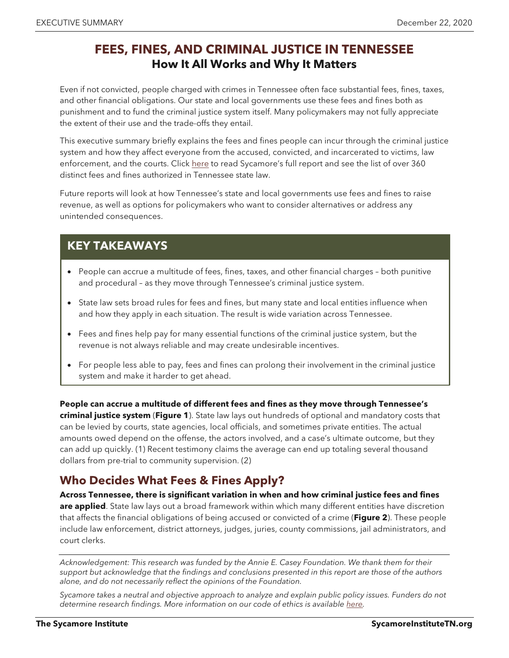#### **FEES, FINES, AND CRIMINAL JUSTICE IN TENNESSEE How It All Works and Why It Matters**

Even if not convicted, people charged with crimes in Tennessee often face substantial fees, fines, taxes, and other financial obligations. Our state and local governments use these fees and fines both as punishment and to fund the criminal justice system itself. Many policymakers may not fully appreciate the extent of their use and the trade-offs they entail.

This executive summary briefly explains the fees and fines people can incur through the criminal justice system and how they affect everyone from the accused, convicted, and incarcerated to victims, law enforcement, and the courts. Click [here](https://www.sycamoreinstitutetn.org/wp-content/uploads/2020/12/2020.12.22-FINAL-Fees-Fines-and-Criminal-Justice-in-Tennessee.pdf) to read Sycamore's full report and see the list of over 360 distinct fees and fines authorized in Tennessee state law.

Future reports will look at how Tennessee's state and local governments use fees and fines to raise revenue, as well as options for policymakers who want to consider alternatives or address any unintended consequences.

#### **KEY TAKEAWAYS**

- People can accrue a multitude of fees, fines, taxes, and other financial charges both punitive and procedural – as they move through Tennessee's criminal justice system.
- State law sets broad rules for fees and fines, but many state and local entities influence when and how they apply in each situation. The result is wide variation across Tennessee.
- Fees and fines help pay for many essential functions of the criminal justice system, but the revenue is not always reliable and may create undesirable incentives.
- For people less able to pay, fees and fines can prolong their involvement in the criminal justice system and make it harder to get ahead.

**People can accrue a multitude of different fees and fines as they move through Tennessee's criminal justice system** (**Figure 1**). State law lays out hundreds of optional and mandatory costs that can be levied by courts, state agencies, local officials, and sometimes private entities. The actual amounts owed depend on the offense, the actors involved, and a case's ultimate outcome, but they can add up quickly. (1) Recent testimony claims the average can end up totaling several thousand dollars from pre-trial to community supervision. (2)

# **Who Decides What Fees & Fines Apply?**

**Across Tennessee, there is significant variation in when and how criminal justice fees and fines are applied**. State law lays out a broad framework within which many different entities have discretion that affects the financial obligations of being accused or convicted of a crime (**Figure 2**). These people include law enforcement, district attorneys, judges, juries, county commissions, jail administrators, and court clerks.

*Acknowledgement: This research was funded by the Annie E. Casey Foundation. We thank them for their support but acknowledge that the findings and conclusions presented in this report are those of the authors alone, and do not necessarily reflect the opinions of the Foundation.*

*Sycamore takes a neutral and objective approach to analyze and explain public policy issues. Funders do not*  determine research findings. More information on our code of ethics is available *here*.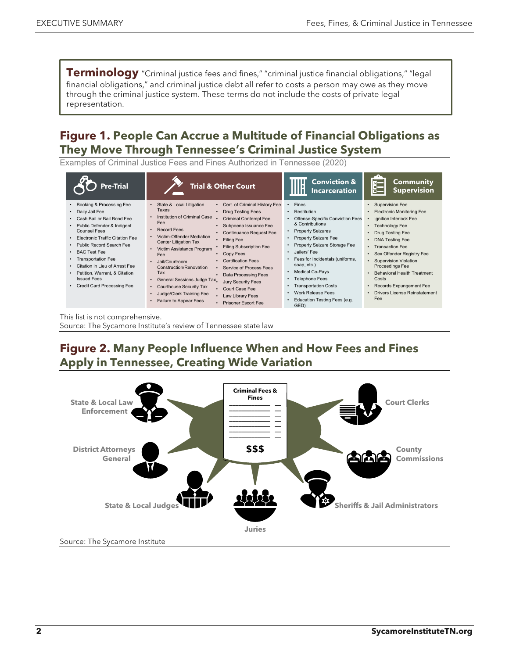**Terminology** "Criminal justice fees and fines," "criminal justice financial obligations," "legal financial obligations," and criminal justice debt all refer to costs a person may owe as they move through the criminal justice system. These terms do not include the costs of private legal representation.

#### **Figure 1. People Can Accrue a Multitude of Financial Obligations as They Move Through Tennessee's Criminal Justice System**

Examples of Criminal Justice Fees and Fines Authorized in Tennessee (2020)

| <b>Pre-Trial</b>                                                                                                                                                                                                                                                                                                                                                                                                          | <b>Trial &amp; Other Court</b>                                                                                                                                                                                                                                                                                                                                                                                                                                                                                                                                                                                                                                                                                                                                                 | <b>Conviction &amp;</b><br><b>Incarceration</b>                                                                                                                                                                                                                                                                                                                                                             | <b>Community</b><br><b>Supervision</b>                                                                                                                                                                                                                                                                                                                        |
|---------------------------------------------------------------------------------------------------------------------------------------------------------------------------------------------------------------------------------------------------------------------------------------------------------------------------------------------------------------------------------------------------------------------------|--------------------------------------------------------------------------------------------------------------------------------------------------------------------------------------------------------------------------------------------------------------------------------------------------------------------------------------------------------------------------------------------------------------------------------------------------------------------------------------------------------------------------------------------------------------------------------------------------------------------------------------------------------------------------------------------------------------------------------------------------------------------------------|-------------------------------------------------------------------------------------------------------------------------------------------------------------------------------------------------------------------------------------------------------------------------------------------------------------------------------------------------------------------------------------------------------------|---------------------------------------------------------------------------------------------------------------------------------------------------------------------------------------------------------------------------------------------------------------------------------------------------------------------------------------------------------------|
| Booking & Processing Fee<br>Daily Jail Fee<br>Cash Bail or Bail Bond Fee<br>$\bullet$<br>• Public Defender & Indigent<br>Counsel Fees<br><b>Electronic Traffic Citation Fee</b><br>• Public Record Search Fee<br><b>BAC Test Fee</b><br>$\bullet$<br><b>Transportation Fee</b><br>Citation in Lieu of Arrest Fee<br>$\bullet$<br>Petition, Warrant, & Citation<br><b>Issued Fees</b><br><b>Credit Card Processing Fee</b> | Cert. of Criminal History Fee<br>State & Local Litigation<br>Taxes<br><b>Drug Testing Fees</b><br>Institution of Criminal Case<br><b>Criminal Contempt Fee</b><br>Fee<br>Subpoena Issuance Fee<br>Record Fees<br><b>Continuance Request Fee</b><br>Victim-Offender Mediation<br><b>Filing Fee</b><br>Center Litigation Tax<br><b>Filing Subscription Fee</b><br>Victim Assistance Program<br>Copy Fees<br>Fee<br><b>Certification Fees</b><br>Jail/Courtroom<br>Construction/Renovation<br>Service of Process Fees<br>Tax<br>Data Processing Fees<br>General Sessions Judge Tax<br><b>Jury Security Fees</b><br>Courthouse Security Tax<br>$\bullet$<br>Court Case Fee<br>Judge/Clerk Training Fee<br>Law Library Fees<br>Failure to Appear Fees<br><b>Prisoner Escort Fee</b> | <b>Fines</b><br>Restitution<br>$\bullet$<br>Offense-Specific Conviction Fees<br>& Contributions<br><b>Property Seizures</b><br><b>Property Seizure Fee</b><br>Property Seizure Storage Fee<br>Jailers' Fee<br>Fees for Incidentals (uniforms,<br>soap, etc.)<br><b>Medical Co-Pays</b><br><b>Telephone Fees</b><br><b>Transportation Costs</b><br>Work Release Fees<br>Education Testing Fees (e.g.<br>GED) | • Supervision Fee<br>• Electronic Monitoring Fee<br>Ignition Interlock Fee<br>• Technology Fee<br>Drug Testing Fee<br>• DNA Testing Fee<br>• Transaction Fee<br>• Sex Offender Registry Fee<br>• Supervision Violation<br>Proceedings Fee<br><b>Behavioral Health Treatment</b><br>Costs<br>• Records Expungement Fee<br>Drivers License Reinstatement<br>Fee |

This list is not comprehensive. Source: The Sycamore Institute's review of Tennessee state law

# **Figure 2. Many People Influence When and How Fees and Fines Apply in Tennessee, Creating Wide Variation**

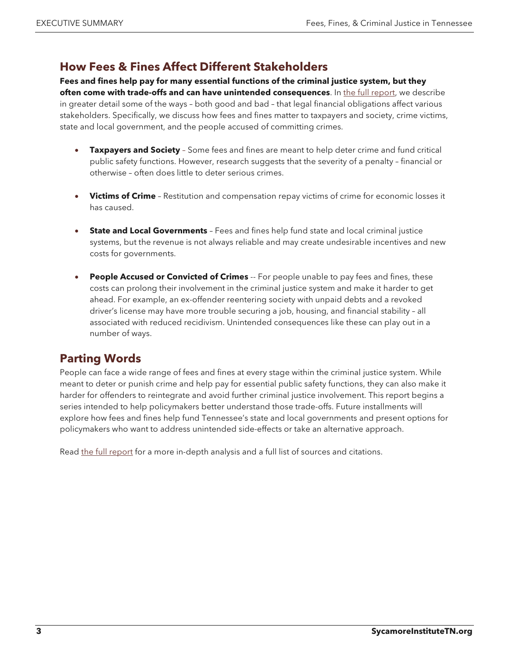# **How Fees & Fines Affect Different Stakeholders**

**Fees and fines help pay for many essential functions of the criminal justice system, but they often come with trade-offs and can have unintended consequences**. In [the full report,](https://www.sycamoreinstitutetn.org/wp-content/uploads/2020/12/2020.12.22-FINAL-Fees-Fines-and-Criminal-Justice-in-Tennessee.pdf) we describe in greater detail some of the ways – both good and bad – that legal financial obligations affect various stakeholders. Specifically, we discuss how fees and fines matter to taxpayers and society, crime victims, state and local government, and the people accused of committing crimes.

- **Taxpayers and Society** Some fees and fines are meant to help deter crime and fund critical public safety functions. However, research suggests that the severity of a penalty – financial or otherwise – often does little to deter serious crimes.
- **Victims of Crime** Restitution and compensation repay victims of crime for economic losses it has caused.
- **State and Local Governments** Fees and fines help fund state and local criminal justice systems, but the revenue is not always reliable and may create undesirable incentives and new costs for governments.
- **People Accused or Convicted of Crimes** -- For people unable to pay fees and fines, these costs can prolong their involvement in the criminal justice system and make it harder to get ahead. For example, an ex-offender reentering society with unpaid debts and a revoked driver's license may have more trouble securing a job, housing, and financial stability – all associated with reduced recidivism. Unintended consequences like these can play out in a number of ways.

# **Parting Words**

People can face a wide range of fees and fines at every stage within the criminal justice system. While meant to deter or punish crime and help pay for essential public safety functions, they can also make it harder for offenders to reintegrate and avoid further criminal justice involvement. This report begins a series intended to help policymakers better understand those trade-offs. Future installments will explore how fees and fines help fund Tennessee's state and local governments and present options for policymakers who want to address unintended side-effects or take an alternative approach.

Read [the full report](https://www.sycamoreinstitutetn.org/wp-content/uploads/2020/12/2020.12.22-FINAL-Fees-Fines-and-Criminal-Justice-in-Tennessee.pdf) for a more in-depth analysis and a full list of sources and citations.